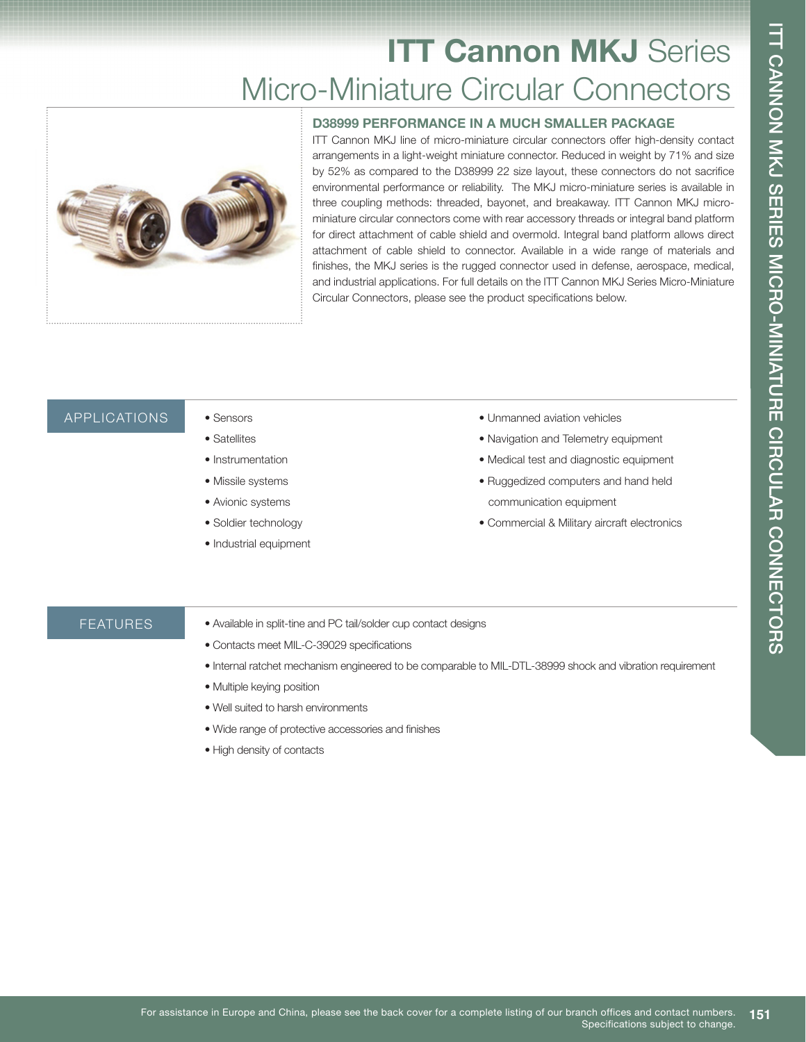# **ITT Cannon MKJ Series** Micro-Miniature Circular Connectors



**D38999 PERFORMANCE IN A MUCH SMALLER PACKAGE** ITT Cannon MKJ line of micro-miniature circular connectors offer high-density contact arrangements in a light-weight miniature connector. Reduced in weight by 71% and size by 52% as compared to the D38999 22 size layout, these connectors do not sacrifice environmental performance or reliability. The MKJ micro-miniature series is available in three coupling methods: threaded, bayonet, and breakaway. ITT Cannon MKJ microminiature circular connectors come with rear accessory threads or integral band platform for direct attachment of cable shield and overmold. Integral band platform allows direct attachment of cable shield to connector. Available in a wide range of materials and finishes, the MKJ series is the rugged connector used in defense, aerospace, medical, and industrial applications. For full details on the ITT Cannon MKJ Series Micro-Miniature Circular Connectors, please see the product specifications below.

#### APPLICATIONS • Sensors

- Satellites
- Instrumentation
- Missile systems
- Avionic systems
- Soldier technology
- Industrial equipment
- Unmanned aviation vehicles
- Navigation and Telemetry equipment
- Medical test and diagnostic equipment
- Ruggedized computers and hand held communication equipment
- Commercial & Military aircraft electronics

#### FEATURES

- Available in split-tine and PC tail/solder cup contact designs
- Contacts meet MIL-C-39029 specifications
- Internal ratchet mechanism engineered to be comparable to MIL-DTL-38999 shock and vibration requirement
- Multiple keying position
- Well suited to harsh environments
- Wide range of protective accessories and finishes
- High density of contacts